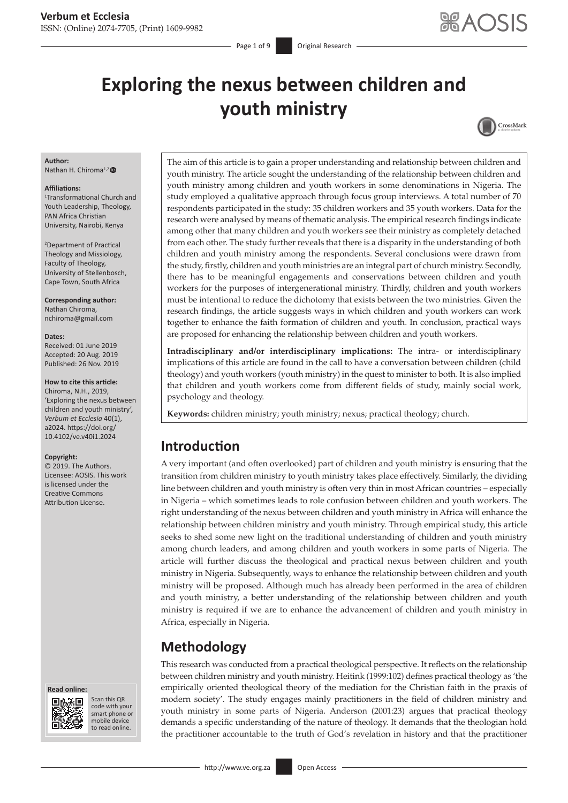Page 1 of 9 **Original Research** 

# **Exploring the nexus between children and youth ministry**



#### **Author:**

Nathan H. Chiroma<sup>1,2</sup>

#### **Affiliations:**

1 Transformational Church and Youth Leadership, Theology, PAN Africa Christian University, Nairobi, Kenya

2 Department of Practical Theology and Missiology, Faculty of Theology, University of Stellenbosch, Cape Town, South Africa

**Corresponding author:** Nathan Chiroma, [nchiroma@gmail.com](mailto:nchiroma@gmail.com)

#### **Dates:**

Received: 01 June 2019 Accepted: 20 Aug. 2019 Published: 26 Nov. 2019

**How to cite this article:**

Chiroma, N.H., 2019, 'Exploring the nexus between children and youth ministry', *Verbum et Ecclesia* 40(1), a2024. [https://doi.org/](https://doi.org/10.4102/ve.v40i1.2024) [10.4102/ve.v40i1.2024](https://doi.org/10.4102/ve.v40i1.2024)

#### **Copyright:**

© 2019. The Authors. Licensee: AOSIS. This work is licensed under the Creative Commons Attribution License.





Scan this QR code with your Scan this QR<br>code with your<br>smart phone or<br>mobile device mobile device to read online. to read online.

The aim of this article is to gain a proper understanding and relationship between children and youth ministry. The article sought the understanding of the relationship between children and youth ministry among children and youth workers in some denominations in Nigeria. The study employed a qualitative approach through focus group interviews. A total number of 70 respondents participated in the study: 35 children workers and 35 youth workers. Data for the research were analysed by means of thematic analysis. The empirical research findings indicate among other that many children and youth workers see their ministry as completely detached from each other. The study further reveals that there is a disparity in the understanding of both children and youth ministry among the respondents. Several conclusions were drawn from the study, firstly, children and youth ministries are an integral part of church ministry. Secondly, there has to be meaningful engagements and conservations between children and youth workers for the purposes of intergenerational ministry. Thirdly, children and youth workers must be intentional to reduce the dichotomy that exists between the two ministries. Given the research findings, the article suggests ways in which children and youth workers can work together to enhance the faith formation of children and youth. In conclusion, practical ways are proposed for enhancing the relationship between children and youth workers.

**Intradisciplinary and/or interdisciplinary implications:** The intra- or interdisciplinary implications of this article are found in the call to have a conversation between children (child theology) and youth workers (youth ministry) in the quest to minister to both. It is also implied that children and youth workers come from different fields of study, mainly social work, psychology and theology.

**Keywords:** children ministry; youth ministry; nexus; practical theology; church.

# **Introduction**

A very important (and often overlooked) part of children and youth ministry is ensuring that the transition from children ministry to youth ministry takes place effectively. Similarly, the dividing line between children and youth ministry is often very thin in most African countries – especially in Nigeria – which sometimes leads to role confusion between children and youth workers. The right understanding of the nexus between children and youth ministry in Africa will enhance the relationship between children ministry and youth ministry. Through empirical study, this article seeks to shed some new light on the traditional understanding of children and youth ministry among church leaders, and among children and youth workers in some parts of Nigeria. The article will further discuss the theological and practical nexus between children and youth ministry in Nigeria. Subsequently, ways to enhance the relationship between children and youth ministry will be proposed. Although much has already been performed in the area of children and youth ministry, a better understanding of the relationship between children and youth ministry is required if we are to enhance the advancement of children and youth ministry in Africa, especially in Nigeria.

# **Methodology**

This research was conducted from a practical theological perspective. It reflects on the relationship between children ministry and youth ministry. Heitink (1999:102) defines practical theology as 'the empirically oriented theological theory of the mediation for the Christian faith in the praxis of modern society'. The study engages mainly practitioners in the field of children ministry and youth ministry in some parts of Nigeria. Anderson (2001:23) argues that practical theology demands a specific understanding of the nature of theology. It demands that the theologian hold the practitioner accountable to the truth of God's revelation in history and that the practitioner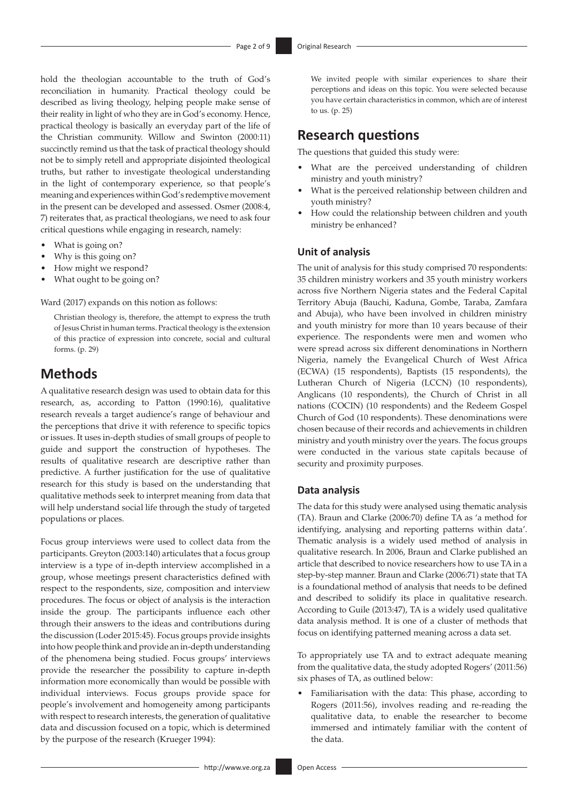hold the theologian accountable to the truth of God's reconciliation in humanity. Practical theology could be described as living theology, helping people make sense of their reality in light of who they are in God's economy. Hence, practical theology is basically an everyday part of the life of the Christian community. Willow and Swinton (2000:11) succinctly remind us that the task of practical theology should not be to simply retell and appropriate disjointed theological truths, but rather to investigate theological understanding in the light of contemporary experience, so that people's meaning and experiences within God's redemptive movement in the present can be developed and assessed. Osmer (2008:4, 7) reiterates that, as practical theologians, we need to ask four critical questions while engaging in research, namely:

- What is going on?
- Why is this going on?
- How might we respond?
- What ought to be going on?

Ward (2017) expands on this notion as follows:

Christian theology is, therefore, the attempt to express the truth of Jesus Christ in human terms. Practical theology is the extension of this practice of expression into concrete, social and cultural forms. (p. 29)

# **Methods**

A qualitative research design was used to obtain data for this research, as, according to Patton (1990:16), qualitative research reveals a target audience's range of behaviour and the perceptions that drive it with reference to specific topics or issues. It uses in-depth studies of small groups of people to guide and support the construction of hypotheses. The results of qualitative research are descriptive rather than predictive. A further justification for the use of qualitative research for this study is based on the understanding that qualitative methods seek to interpret meaning from data that will help understand social life through the study of targeted populations or places.

Focus group interviews were used to collect data from the participants. Greyton (2003:140) articulates that a focus group interview is a type of in-depth interview accomplished in a group, whose meetings present characteristics defined with respect to the respondents, size, composition and interview procedures. The focus or object of analysis is the interaction inside the group. The participants influence each other through their answers to the ideas and contributions during the discussion (Loder 2015:45). Focus groups provide insights into how people think and provide an in-depth understanding of the phenomena being studied. Focus groups' interviews provide the researcher the possibility to capture in-depth information more economically than would be possible with individual interviews. Focus groups provide space for people's involvement and homogeneity among participants with respect to research interests, the generation of qualitative data and discussion focused on a topic, which is determined by the purpose of the research (Krueger 1994):

We invited people with similar experiences to share their perceptions and ideas on this topic. You were selected because you have certain characteristics in common, which are of interest to us. (p. 25)

# **Research questions**

The questions that guided this study were:

- What are the perceived understanding of children ministry and youth ministry?
- What is the perceived relationship between children and youth ministry?
- How could the relationship between children and youth ministry be enhanced?

# **Unit of analysis**

The unit of analysis for this study comprised 70 respondents: 35 children ministry workers and 35 youth ministry workers across five Northern Nigeria states and the Federal Capital Territory Abuja (Bauchi, Kaduna, Gombe, Taraba, Zamfara and Abuja), who have been involved in children ministry and youth ministry for more than 10 years because of their experience. The respondents were men and women who were spread across six different denominations in Northern Nigeria, namely the Evangelical Church of West Africa (ECWA) (15 respondents), Baptists (15 respondents), the Lutheran Church of Nigeria (LCCN) (10 respondents), Anglicans (10 respondents), the Church of Christ in all nations (COCIN) (10 respondents) and the Redeem Gospel Church of God (10 respondents). These denominations were chosen because of their records and achievements in children ministry and youth ministry over the years. The focus groups were conducted in the various state capitals because of security and proximity purposes.

### **Data analysis**

The data for this study were analysed using thematic analysis (TA). Braun and Clarke (2006:70) define TA as 'a method for identifying, analysing and reporting patterns within data'. Thematic analysis is a widely used method of analysis in qualitative research. In 2006, Braun and Clarke published an article that described to novice researchers how to use TA in a step-by-step manner. Braun and Clarke (2006:71) state that TA is a foundational method of analysis that needs to be defined and described to solidify its place in qualitative research. According to Guile (2013:47), TA is a widely used qualitative data analysis method. It is one of a cluster of methods that focus on identifying patterned meaning across a data set.

To appropriately use TA and to extract adequate meaning from the qualitative data, the study adopted Rogers' (2011:56) six phases of TA, as outlined below:

• Familiarisation with the data: This phase, according to Rogers (2011:56), involves reading and re-reading the qualitative data, to enable the researcher to become immersed and intimately familiar with the content of the data.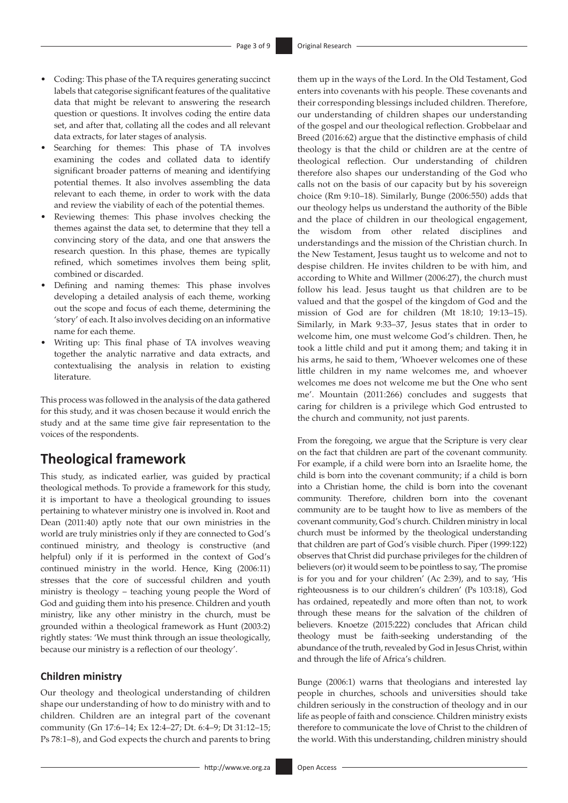- Coding: This phase of the TA requires generating succinct labels that categorise significant features of the qualitative data that might be relevant to answering the research question or questions. It involves coding the entire data set, and after that, collating all the codes and all relevant data extracts, for later stages of analysis.
- Searching for themes: This phase of TA involves examining the codes and collated data to identify significant broader patterns of meaning and identifying potential themes. It also involves assembling the data relevant to each theme, in order to work with the data and review the viability of each of the potential themes.
- Reviewing themes: This phase involves checking the themes against the data set, to determine that they tell a convincing story of the data, and one that answers the research question. In this phase, themes are typically refined, which sometimes involves them being split, combined or discarded.
- Defining and naming themes: This phase involves developing a detailed analysis of each theme, working out the scope and focus of each theme, determining the 'story' of each. It also involves deciding on an informative name for each theme.
- Writing up: This final phase of TA involves weaving together the analytic narrative and data extracts, and contextualising the analysis in relation to existing literature.

This process was followed in the analysis of the data gathered for this study, and it was chosen because it would enrich the study and at the same time give fair representation to the voices of the respondents.

# **Theological framework**

This study, as indicated earlier, was guided by practical theological methods. To provide a framework for this study, it is important to have a theological grounding to issues pertaining to whatever ministry one is involved in. Root and Dean (2011:40) aptly note that our own ministries in the world are truly ministries only if they are connected to God's continued ministry, and theology is constructive (and helpful) only if it is performed in the context of God's continued ministry in the world. Hence, King (2006:11) stresses that the core of successful children and youth ministry is theology – teaching young people the Word of God and guiding them into his presence. Children and youth ministry, like any other ministry in the church, must be grounded within a theological framework as Hunt (2003:2) rightly states: 'We must think through an issue theologically, because our ministry is a reflection of our theology'.

# **Children ministry**

Our theology and theological understanding of children shape our understanding of how to do ministry with and to children. Children are an integral part of the covenant community (Gn 17:6–14; Ex 12:4–27; Dt. 6:4–9; Dt 31:12–15; Ps 78:1–8), and God expects the church and parents to bring

them up in the ways of the Lord. In the Old Testament, God enters into covenants with his people. These covenants and their corresponding blessings included children. Therefore, our understanding of children shapes our understanding of the gospel and our theological reflection. Grobbelaar and Breed (2016:62) argue that the distinctive emphasis of child theology is that the child or children are at the centre of theological reflection. Our understanding of children therefore also shapes our understanding of the God who calls not on the basis of our capacity but by his sovereign choice (Rm 9:10–18). Similarly, Bunge (2006:550) adds that our theology helps us understand the authority of the Bible and the place of children in our theological engagement, the wisdom from other related disciplines and understandings and the mission of the Christian church. In the New Testament, Jesus taught us to welcome and not to despise children. He invites children to be with him, and according to White and Willmer (2006:27), the church must follow his lead. Jesus taught us that children are to be valued and that the gospel of the kingdom of God and the mission of God are for children (Mt 18:10; 19:13–15). Similarly, in Mark 9:33–37, Jesus states that in order to welcome him, one must welcome God's children. Then, he took a little child and put it among them; and taking it in his arms, he said to them, 'Whoever welcomes one of these little children in my name welcomes me, and whoever welcomes me does not welcome me but the One who sent me'. Mountain (2011:266) concludes and suggests that caring for children is a privilege which God entrusted to the church and community, not just parents.

From the foregoing, we argue that the Scripture is very clear on the fact that children are part of the covenant community. For example, if a child were born into an Israelite home, the child is born into the covenant community; if a child is born into a Christian home, the child is born into the covenant community. Therefore, children born into the covenant community are to be taught how to live as members of the covenant community, God's church. Children ministry in local church must be informed by the theological understanding that children are part of God's visible church. Piper (1999:122) observes that Christ did purchase privileges for the children of believers (or) it would seem to be pointless to say, 'The promise is for you and for your children' (Ac 2:39), and to say, 'His righteousness is to our children's children' (Ps 103:18), God has ordained, repeatedly and more often than not, to work through these means for the salvation of the children of believers. Knoetze (2015:222) concludes that African child theology must be faith-seeking understanding of the abundance of the truth, revealed by God in Jesus Christ, within and through the life of Africa's children.

Bunge (2006:1) warns that theologians and interested lay people in churches, schools and universities should take children seriously in the construction of theology and in our life as people of faith and conscience. Children ministry exists therefore to communicate the love of Christ to the children of the world. With this understanding, children ministry should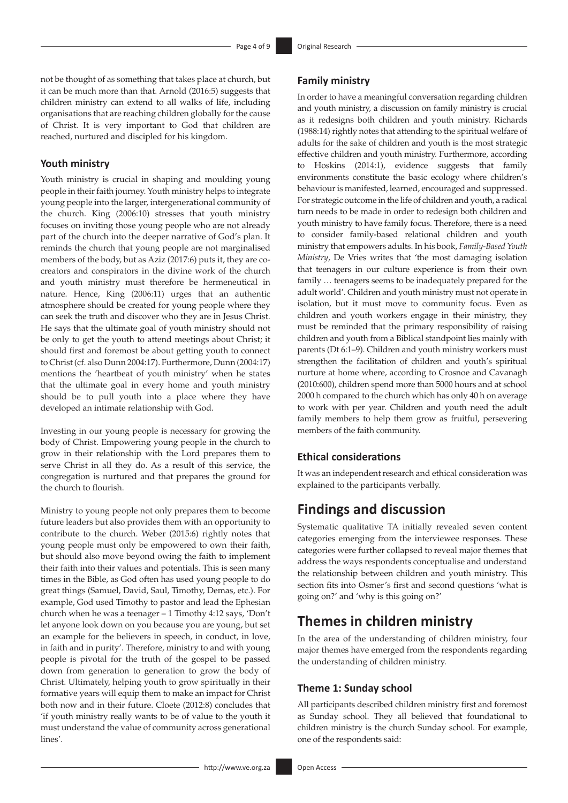not be thought of as something that takes place at church, but it can be much more than that. Arnold (2016:5) suggests that children ministry can extend to all walks of life, including organisations that are reaching children globally for the cause of Christ. It is very important to God that children are reached, nurtured and discipled for his kingdom.

# **Youth ministry**

Youth ministry is crucial in shaping and moulding young people in their faith journey. Youth ministry helps to integrate young people into the larger, intergenerational community of the church. King (2006:10) stresses that youth ministry focuses on inviting those young people who are not already part of the church into the deeper narrative of God's plan. It reminds the church that young people are not marginalised members of the body, but as Aziz (2017:6) puts it, they are cocreators and conspirators in the divine work of the church and youth ministry must therefore be hermeneutical in nature. Hence, King (2006:11) urges that an authentic atmosphere should be created for young people where they can seek the truth and discover who they are in Jesus Christ. He says that the ultimate goal of youth ministry should not be only to get the youth to attend meetings about Christ; it should first and foremost be about getting youth to connect to Christ (cf. also Dunn 2004:17). Furthermore, Dunn (2004:17) mentions the 'heartbeat of youth ministry' when he states that the ultimate goal in every home and youth ministry should be to pull youth into a place where they have developed an intimate relationship with God.

Investing in our young people is necessary for growing the body of Christ. Empowering young people in the church to grow in their relationship with the Lord prepares them to serve Christ in all they do. As a result of this service, the congregation is nurtured and that prepares the ground for the church to flourish.

Ministry to young people not only prepares them to become future leaders but also provides them with an opportunity to contribute to the church. Weber (2015:6) rightly notes that young people must only be empowered to own their faith, but should also move beyond owing the faith to implement their faith into their values and potentials. This is seen many times in the Bible, as God often has used young people to do great things (Samuel, David, Saul, Timothy, Demas, etc.). For example, God used Timothy to pastor and lead the Ephesian church when he was a teenager – 1 Timothy 4:12 says, 'Don't let anyone look down on you because you are young, but set an example for the believers in speech, in conduct, in love, in faith and in purity'. Therefore, ministry to and with young people is pivotal for the truth of the gospel to be passed down from generation to generation to grow the body of Christ. Ultimately, helping youth to grow spiritually in their formative years will equip them to make an impact for Christ both now and in their future. Cloete (2012:8) concludes that 'if youth ministry really wants to be of value to the youth it must understand the value of community across generational lines'.

# **Family ministry**

In order to have a meaningful conversation regarding children and youth ministry, a discussion on family ministry is crucial as it redesigns both children and youth ministry. Richards (1988:14) rightly notes that attending to the spiritual welfare of adults for the sake of children and youth is the most strategic effective children and youth ministry. Furthermore, according to Hoskins (2014:1), evidence suggests that family environments constitute the basic ecology where children's behaviour is manifested, learned, encouraged and suppressed. For strategic outcome in the life of children and youth, a radical turn needs to be made in order to redesign both children and youth ministry to have family focus. Therefore, there is a need to consider family-based relational children and youth ministry that empowers adults. In his book, *Family-Based Youth Ministry*, De Vries writes that 'the most damaging isolation that teenagers in our culture experience is from their own family … teenagers seems to be inadequately prepared for the adult world'. Children and youth ministry must not operate in isolation, but it must move to community focus. Even as children and youth workers engage in their ministry, they must be reminded that the primary responsibility of raising children and youth from a Biblical standpoint lies mainly with parents (Dt 6:1–9). Children and youth ministry workers must strengthen the facilitation of children and youth's spiritual nurture at home where, according to Crosnoe and Cavanagh (2010:600), children spend more than 5000 hours and at school 2000 h compared to the church which has only 40 h on average to work with per year. Children and youth need the adult family members to help them grow as fruitful, persevering members of the faith community.

# **Ethical considerations**

It was an independent research and ethical consideration was explained to the participants verbally.

# **Findings and discussion**

Systematic qualitative TA initially revealed seven content categories emerging from the interviewee responses. These categories were further collapsed to reveal major themes that address the ways respondents conceptualise and understand the relationship between children and youth ministry. This section fits into Osmer's first and second questions 'what is going on?' and 'why is this going on?'

# **Themes in children ministry**

In the area of the understanding of children ministry, four major themes have emerged from the respondents regarding the understanding of children ministry.

### **Theme 1: Sunday school**

All participants described children ministry first and foremost as Sunday school. They all believed that foundational to children ministry is the church Sunday school. For example, one of the respondents said: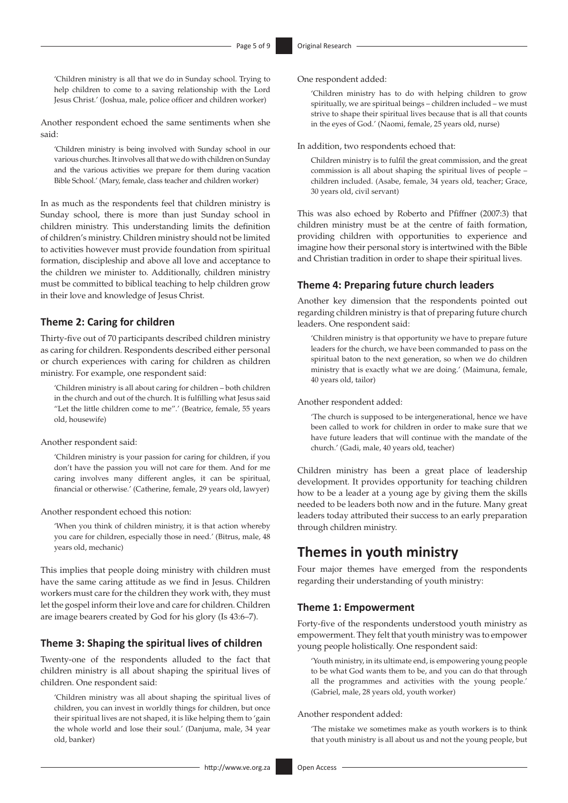'Children ministry is all that we do in Sunday school. Trying to help children to come to a saving relationship with the Lord Jesus Christ.' (Joshua, male, police officer and children worker)

Another respondent echoed the same sentiments when she said:

'Children ministry is being involved with Sunday school in our various churches. It involves all that we do with children on Sunday and the various activities we prepare for them during vacation Bible School.' (Mary, female, class teacher and children worker)

In as much as the respondents feel that children ministry is Sunday school, there is more than just Sunday school in children ministry. This understanding limits the definition of children's ministry. Children ministry should not be limited to activities however must provide foundation from spiritual formation, discipleship and above all love and acceptance to the children we minister to. Additionally, children ministry must be committed to biblical teaching to help children grow in their love and knowledge of Jesus Christ.

# **Theme 2: Caring for children**

Thirty-five out of 70 participants described children ministry as caring for children. Respondents described either personal or church experiences with caring for children as children ministry. For example, one respondent said:

'Children ministry is all about caring for children – both children in the church and out of the church. It is fulfilling what Jesus said "Let the little children come to me".' (Beatrice, female, 55 years old, housewife)

Another respondent said:

'Children ministry is your passion for caring for children, if you don't have the passion you will not care for them. And for me caring involves many different angles, it can be spiritual, financial or otherwise.' (Catherine, female, 29 years old, lawyer)

Another respondent echoed this notion:

'When you think of children ministry, it is that action whereby you care for children, especially those in need.' (Bitrus, male, 48 years old, mechanic)

This implies that people doing ministry with children must have the same caring attitude as we find in Jesus. Children workers must care for the children they work with, they must let the gospel inform their love and care for children. Children are image bearers created by God for his glory (Is 43:6–7).

# **Theme 3: Shaping the spiritual lives of children**

Twenty-one of the respondents alluded to the fact that children ministry is all about shaping the spiritual lives of children. One respondent said:

'Children ministry was all about shaping the spiritual lives of children, you can invest in worldly things for children, but once their spiritual lives are not shaped, it is like helping them to 'gain the whole world and lose their soul.' (Danjuma, male, 34 year old, banker)

One respondent added:

'Children ministry has to do with helping children to grow spiritually, we are spiritual beings – children included – we must strive to shape their spiritual lives because that is all that counts in the eyes of God.' (Naomi, female, 25 years old, nurse)

In addition, two respondents echoed that:

Children ministry is to fulfil the great commission, and the great commission is all about shaping the spiritual lives of people – children included. (Asabe, female, 34 years old, teacher; Grace, 30 years old, civil servant)

This was also echoed by Roberto and Pfiffner (2007:3) that children ministry must be at the centre of faith formation, providing children with opportunities to experience and imagine how their personal story is intertwined with the Bible and Christian tradition in order to shape their spiritual lives.

### **Theme 4: Preparing future church leaders**

Another key dimension that the respondents pointed out regarding children ministry is that of preparing future church leaders. One respondent said:

'Children ministry is that opportunity we have to prepare future leaders for the church, we have been commanded to pass on the spiritual baton to the next generation, so when we do children ministry that is exactly what we are doing.' (Maimuna, female, 40 years old, tailor)

Another respondent added:

'The church is supposed to be intergenerational, hence we have been called to work for children in order to make sure that we have future leaders that will continue with the mandate of the church.' (Gadi, male, 40 years old, teacher)

Children ministry has been a great place of leadership development. It provides opportunity for teaching children how to be a leader at a young age by giving them the skills needed to be leaders both now and in the future. Many great leaders today attributed their success to an early preparation through children ministry.

# **Themes in youth ministry**

Four major themes have emerged from the respondents regarding their understanding of youth ministry:

# **Theme 1: Empowerment**

Forty-five of the respondents understood youth ministry as empowerment. They felt that youth ministry was to empower young people holistically. One respondent said:

'Youth ministry, in its ultimate end, is empowering young people to be what God wants them to be, and you can do that through all the programmes and activities with the young people.' (Gabriel, male, 28 years old, youth worker)

#### Another respondent added:

'The mistake we sometimes make as youth workers is to think that youth ministry is all about us and not the young people, but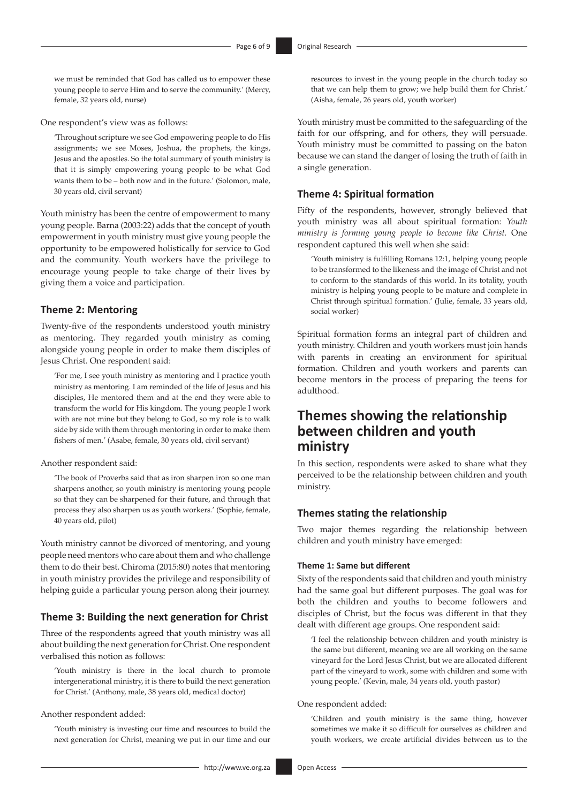we must be reminded that God has called us to empower these young people to serve Him and to serve the community.' (Mercy, female, 32 years old, nurse)

One respondent's view was as follows:

'Throughout scripture we see God empowering people to do His assignments; we see Moses, Joshua, the prophets, the kings, Jesus and the apostles. So the total summary of youth ministry is that it is simply empowering young people to be what God wants them to be – both now and in the future.' (Solomon, male, 30 years old, civil servant)

Youth ministry has been the centre of empowerment to many young people. Barna (2003:22) adds that the concept of youth empowerment in youth ministry must give young people the opportunity to be empowered holistically for service to God and the community. Youth workers have the privilege to encourage young people to take charge of their lives by giving them a voice and participation.

## **Theme 2: Mentoring**

Twenty-five of the respondents understood youth ministry as mentoring. They regarded youth ministry as coming alongside young people in order to make them disciples of Jesus Christ. One respondent said:

'For me, I see youth ministry as mentoring and I practice youth ministry as mentoring. I am reminded of the life of Jesus and his disciples, He mentored them and at the end they were able to transform the world for His kingdom. The young people I work with are not mine but they belong to God, so my role is to walk side by side with them through mentoring in order to make them fishers of men.' (Asabe, female, 30 years old, civil servant)

### Another respondent said:

'The book of Proverbs said that as iron sharpen iron so one man sharpens another, so youth ministry is mentoring young people so that they can be sharpened for their future, and through that process they also sharpen us as youth workers.' (Sophie, female, 40 years old, pilot)

Youth ministry cannot be divorced of mentoring, and young people need mentors who care about them and who challenge them to do their best. Chiroma (2015:80) notes that mentoring in youth ministry provides the privilege and responsibility of helping guide a particular young person along their journey.

### **Theme 3: Building the next generation for Christ**

Three of the respondents agreed that youth ministry was all about building the next generation for Christ. One respondent verbalised this notion as follows:

'Youth ministry is there in the local church to promote intergenerational ministry, it is there to build the next generation for Christ.' (Anthony, male, 38 years old, medical doctor)

### Another respondent added:

'Youth ministry is investing our time and resources to build the next generation for Christ, meaning we put in our time and our

resources to invest in the young people in the church today so that we can help them to grow; we help build them for Christ.' (Aisha, female, 26 years old, youth worker)

Youth ministry must be committed to the safeguarding of the faith for our offspring, and for others, they will persuade. Youth ministry must be committed to passing on the baton because we can stand the danger of losing the truth of faith in a single generation.

### **Theme 4: Spiritual formation**

Fifty of the respondents, however, strongly believed that youth ministry was all about spiritual formation: *Youth ministry is forming young people to become like Christ.* One respondent captured this well when she said:

'Youth ministry is fulfilling Romans 12:1, helping young people to be transformed to the likeness and the image of Christ and not to conform to the standards of this world. In its totality, youth ministry is helping young people to be mature and complete in Christ through spiritual formation.' (Julie, female, 33 years old, social worker)

Spiritual formation forms an integral part of children and youth ministry. Children and youth workers must join hands with parents in creating an environment for spiritual formation. Children and youth workers and parents can become mentors in the process of preparing the teens for adulthood.

# **Themes showing the relationship between children and youth ministry**

In this section, respondents were asked to share what they perceived to be the relationship between children and youth ministry.

#### **Themes stating the relationship**

Two major themes regarding the relationship between children and youth ministry have emerged:

#### **Theme 1: Same but different**

Sixty of the respondents said that children and youth ministry had the same goal but different purposes. The goal was for both the children and youths to become followers and disciples of Christ, but the focus was different in that they dealt with different age groups. One respondent said:

'I feel the relationship between children and youth ministry is the same but different, meaning we are all working on the same vineyard for the Lord Jesus Christ, but we are allocated different part of the vineyard to work, some with children and some with young people.' (Kevin, male, 34 years old, youth pastor)

### One respondent added:

'Children and youth ministry is the same thing, however sometimes we make it so difficult for ourselves as children and youth workers, we create artificial divides between us to the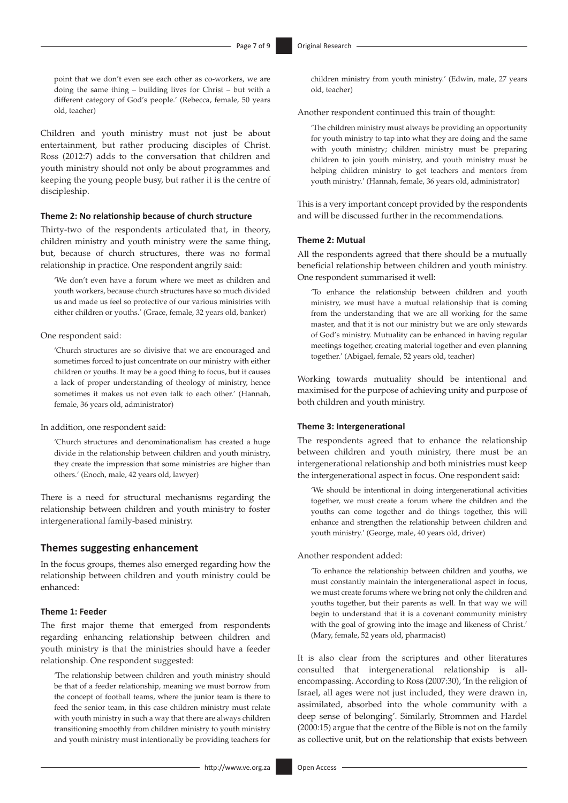point that we don't even see each other as co-workers, we are doing the same thing – building lives for Christ – but with a different category of God's people.' (Rebecca, female, 50 years old, teacher)

Children and youth ministry must not just be about entertainment, but rather producing disciples of Christ. Ross (2012:7) adds to the conversation that children and youth ministry should not only be about programmes and keeping the young people busy, but rather it is the centre of discipleship.

#### **Theme 2: No relationship because of church structure**

Thirty-two of the respondents articulated that, in theory, children ministry and youth ministry were the same thing, but, because of church structures, there was no formal relationship in practice. One respondent angrily said:

'We don't even have a forum where we meet as children and youth workers, because church structures have so much divided us and made us feel so protective of our various ministries with either children or youths.' (Grace, female, 32 years old, banker)

#### One respondent said:

'Church structures are so divisive that we are encouraged and sometimes forced to just concentrate on our ministry with either children or youths. It may be a good thing to focus, but it causes a lack of proper understanding of theology of ministry, hence sometimes it makes us not even talk to each other.' (Hannah, female, 36 years old, administrator)

In addition, one respondent said:

'Church structures and denominationalism has created a huge divide in the relationship between children and youth ministry, they create the impression that some ministries are higher than others.' (Enoch, male, 42 years old, lawyer)

There is a need for structural mechanisms regarding the relationship between children and youth ministry to foster intergenerational family-based ministry.

### **Themes suggesting enhancement**

In the focus groups, themes also emerged regarding how the relationship between children and youth ministry could be enhanced:

# **Theme 1: Feeder**

The first major theme that emerged from respondents regarding enhancing relationship between children and youth ministry is that the ministries should have a feeder relationship. One respondent suggested:

'The relationship between children and youth ministry should be that of a feeder relationship, meaning we must borrow from the concept of football teams, where the junior team is there to feed the senior team, in this case children ministry must relate with youth ministry in such a way that there are always children transitioning smoothly from children ministry to youth ministry and youth ministry must intentionally be providing teachers for

children ministry from youth ministry.' (Edwin, male, 27 years old, teacher)

Another respondent continued this train of thought:

'The children ministry must always be providing an opportunity for youth ministry to tap into what they are doing and the same with youth ministry; children ministry must be preparing children to join youth ministry, and youth ministry must be helping children ministry to get teachers and mentors from youth ministry.' (Hannah, female, 36 years old, administrator)

This is a very important concept provided by the respondents and will be discussed further in the recommendations.

#### **Theme 2: Mutual**

All the respondents agreed that there should be a mutually beneficial relationship between children and youth ministry. One respondent summarised it well:

'To enhance the relationship between children and youth ministry, we must have a mutual relationship that is coming from the understanding that we are all working for the same master, and that it is not our ministry but we are only stewards of God's ministry. Mutuality can be enhanced in having regular meetings together, creating material together and even planning together.' (Abigael, female, 52 years old, teacher)

Working towards mutuality should be intentional and maximised for the purpose of achieving unity and purpose of both children and youth ministry.

#### **Theme 3: Intergenerational**

The respondents agreed that to enhance the relationship between children and youth ministry, there must be an intergenerational relationship and both ministries must keep the intergenerational aspect in focus. One respondent said:

'We should be intentional in doing intergenerational activities together, we must create a forum where the children and the youths can come together and do things together, this will enhance and strengthen the relationship between children and youth ministry.' (George, male, 40 years old, driver)

Another respondent added:

'To enhance the relationship between children and youths, we must constantly maintain the intergenerational aspect in focus, we must create forums where we bring not only the children and youths together, but their parents as well. In that way we will begin to understand that it is a covenant community ministry with the goal of growing into the image and likeness of Christ.' (Mary, female, 52 years old, pharmacist)

It is also clear from the scriptures and other literatures consulted that intergenerational relationship is allencompassing. According to Ross (2007:30), 'In the religion of Israel, all ages were not just included, they were drawn in, assimilated, absorbed into the whole community with a deep sense of belonging'. Similarly, Strommen and Hardel (2000:15) argue that the centre of the Bible is not on the family as collective unit, but on the relationship that exists between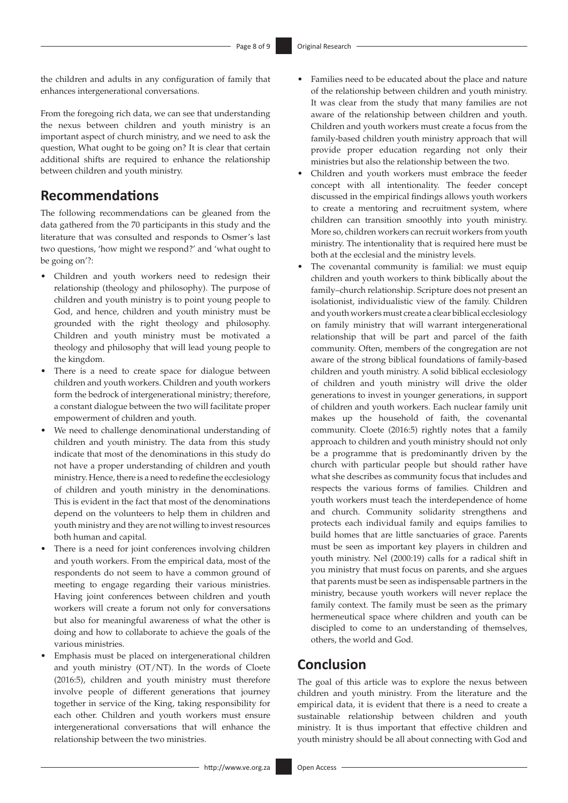the children and adults in any configuration of family that enhances intergenerational conversations.

From the foregoing rich data, we can see that understanding the nexus between children and youth ministry is an important aspect of church ministry, and we need to ask the question, What ought to be going on? It is clear that certain additional shifts are required to enhance the relationship between children and youth ministry.

# **Recommendations**

The following recommendations can be gleaned from the data gathered from the 70 participants in this study and the literature that was consulted and responds to Osmer's last two questions, 'how might we respond?' and 'what ought to be going on'?:

- Children and youth workers need to redesign their relationship (theology and philosophy). The purpose of children and youth ministry is to point young people to God, and hence, children and youth ministry must be grounded with the right theology and philosophy. Children and youth ministry must be motivated a theology and philosophy that will lead young people to the kingdom.
- There is a need to create space for dialogue between children and youth workers. Children and youth workers form the bedrock of intergenerational ministry; therefore, a constant dialogue between the two will facilitate proper empowerment of children and youth.
- We need to challenge denominational understanding of children and youth ministry. The data from this study indicate that most of the denominations in this study do not have a proper understanding of children and youth ministry. Hence, there is a need to redefine the ecclesiology of children and youth ministry in the denominations. This is evident in the fact that most of the denominations depend on the volunteers to help them in children and youth ministry and they are not willing to invest resources both human and capital.
- There is a need for joint conferences involving children and youth workers. From the empirical data, most of the respondents do not seem to have a common ground of meeting to engage regarding their various ministries. Having joint conferences between children and youth workers will create a forum not only for conversations but also for meaningful awareness of what the other is doing and how to collaborate to achieve the goals of the various ministries.
- Emphasis must be placed on intergenerational children and youth ministry (OT/NT). In the words of Cloete (2016:5), children and youth ministry must therefore involve people of different generations that journey together in service of the King, taking responsibility for each other. Children and youth workers must ensure intergenerational conversations that will enhance the relationship between the two ministries.
- Families need to be educated about the place and nature of the relationship between children and youth ministry. It was clear from the study that many families are not aware of the relationship between children and youth. Children and youth workers must create a focus from the family-based children youth ministry approach that will provide proper education regarding not only their ministries but also the relationship between the two.
- Children and youth workers must embrace the feeder concept with all intentionality. The feeder concept discussed in the empirical findings allows youth workers to create a mentoring and recruitment system, where children can transition smoothly into youth ministry. More so, children workers can recruit workers from youth ministry. The intentionality that is required here must be both at the ecclesial and the ministry levels.
- The covenantal community is familial: we must equip children and youth workers to think biblically about the family–church relationship. Scripture does not present an isolationist, individualistic view of the family. Children and youth workers must create a clear biblical ecclesiology on family ministry that will warrant intergenerational relationship that will be part and parcel of the faith community. Often, members of the congregation are not aware of the strong biblical foundations of family-based children and youth ministry. A solid biblical ecclesiology of children and youth ministry will drive the older generations to invest in younger generations, in support of children and youth workers. Each nuclear family unit makes up the household of faith, the covenantal community. Cloete (2016:5) rightly notes that a family approach to children and youth ministry should not only be a programme that is predominantly driven by the church with particular people but should rather have what she describes as community focus that includes and respects the various forms of families. Children and youth workers must teach the interdependence of home and church. Community solidarity strengthens and protects each individual family and equips families to build homes that are little sanctuaries of grace. Parents must be seen as important key players in children and youth ministry. Nel (2000:19) calls for a radical shift in you ministry that must focus on parents, and she argues that parents must be seen as indispensable partners in the ministry, because youth workers will never replace the family context. The family must be seen as the primary hermeneutical space where children and youth can be discipled to come to an understanding of themselves, others, the world and God.

# **Conclusion**

The goal of this article was to explore the nexus between children and youth ministry. From the literature and the empirical data, it is evident that there is a need to create a sustainable relationship between children and youth ministry. It is thus important that effective children and youth ministry should be all about connecting with God and